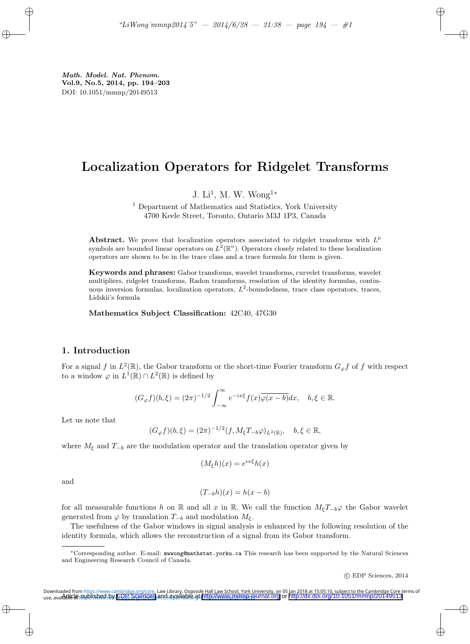# Localization Operators for Ridgelet Transforms

J. Li<sup>1</sup>, M. W. Wong<sup>1\*</sup>

<sup>1</sup> Department of Mathematics and Statistics, York University 4700 Keele Street, Toronto, Ontario M3J 1P3, Canada

Abstract. We prove that localization operators associated to ridgelet transforms with  $L^p$ symbols are bounded linear operators on  $L^2(\mathbb{R}^n)$ . Operators closely related to these localization operators are shown to be in the trace class and a trace formula for them is given.

Keywords and phrases: Gabor transforms, wavelet transforms, curvelet transforms, wavelet multipliers, ridgelet transforms, Radon transforms, resolution of the identity formulas, continuous inversion formulas, localization operators,  $L^2$ -boundedness, trace class operators, traces, Lidskii's formula

Mathematics Subject Classification: 42C40, 47G30

### 1. Introduction

For a signal f in  $L^2(\mathbb{R})$ , the Gabor transform or the short-time Fourier transform  $G_{\varphi}f$  of f with respect to a window  $\varphi$  in  $L^1(\mathbb{R}) \cap L^2(\mathbb{R})$  is defined by

$$
(G_{\varphi}f)(b,\xi) = (2\pi)^{-1/2} \int_{-\infty}^{\infty} e^{-ix\xi} f(x) \overline{\varphi(x-b)} dx, \quad b,\xi \in \mathbb{R}.
$$

Let us note that

$$
(G_{\varphi}f)(b,\xi) = (2\pi)^{-1/2}(f, M_{\xi}T_{-b}\varphi)_{L^{2}(\mathbb{R})}, \quad b, \xi \in \mathbb{R},
$$

where  $M_{\xi}$  and  $T_{-b}$  are the modulation operator and the translation operator given by

$$
(M_{\xi}h)(x) = e^{ix\xi}h(x)
$$

and

$$
(T_{-b}h)(x) = h(x - b)
$$

for all measurable functions h on R and all x in R. We call the function  $M_{\xi}T_{-b}\varphi$  the Gabor wavelet generated from  $\varphi$  by translation  $T_{-b}$  and modulation  $M_{\xi}$ .

The usefulness of the Gabor windows in signal analysis is enhanced by the following resolution of the identity formula, which allows the reconstruction of a signal from its Gabor transform.

c EDP Sciences, 2014

<sup>∗</sup>Corresponding author. E-mail: mwwong@mathstat.yorku.ca This research has been supported by the Natural Sciences and Engineering Research Council of Canada.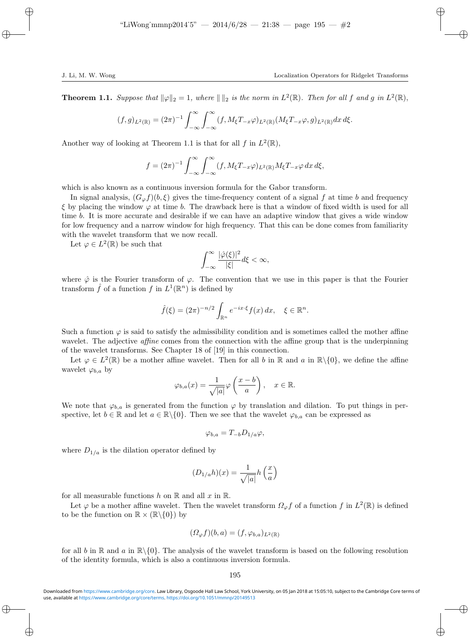**Theorem 1.1.** Suppose that  $\|\varphi\|_2 = 1$ , where  $\|\|_2$  is the norm in  $L^2(\mathbb{R})$ . Then for all f and g in  $L^2(\mathbb{R})$ ,

$$
(f,g)_{L^2(\mathbb{R})} = (2\pi)^{-1} \int_{-\infty}^{\infty} \int_{-\infty}^{\infty} (f, M_{\xi}T_{-x}\varphi)_{L^2(\mathbb{R})} (M_{\xi}T_{-x}\varphi, g)_{L^2(\mathbb{R})} dx d\xi.
$$

Another way of looking at Theorem 1.1 is that for all f in  $L^2(\mathbb{R})$ ,

$$
f = (2\pi)^{-1} \int_{-\infty}^{\infty} \int_{-\infty}^{\infty} (f, M_{\xi} T_{-x} \varphi)_{L^{2}(\mathbb{R})} M_{\xi} T_{-x} \varphi \, dx \, d\xi,
$$

which is also known as a continuous inversion formula for the Gabor transform.

In signal analysis,  $(G_{\varphi}f)(b,\xi)$  gives the time-frequency content of a signal f at time b and frequency  $\xi$  by placing the window  $\varphi$  at time b. The drawback here is that a window of fixed width is used for all time b. It is more accurate and desirable if we can have an adaptive window that gives a wide window for low frequency and a narrow window for high frequency. That this can be done comes from familiarity with the wavelet transform that we now recall.

Let  $\varphi \in L^2(\mathbb{R})$  be such that

$$
\int_{-\infty}^{\infty} \frac{|\hat{\varphi}(\xi)|^2}{|\xi|} d\xi < \infty,
$$

where  $\hat{\varphi}$  is the Fourier transform of  $\varphi$ . The convention that we use in this paper is that the Fourier transform  $\hat{f}$  of a function  $f$  in  $L^1(\mathbb{R}^n)$  is defined by

$$
\hat{f}(\xi) = (2\pi)^{-n/2} \int_{\mathbb{R}^n} e^{-ix\cdot\xi} f(x) dx, \quad \xi \in \mathbb{R}^n.
$$

Such a function  $\varphi$  is said to satisfy the admissibility condition and is sometimes called the mother affine wavelet. The adjective *affine* comes from the connection with the affine group that is the underpinning of the wavelet transforms. See Chapter 18 of [19] in this connection.

Let  $\varphi \in L^2(\mathbb{R})$  be a mother affine wavelet. Then for all b in  $\mathbb{R}$  and a in  $\mathbb{R}\setminus\{0\}$ , we define the affine wavelet  $\varphi_{b,a}$  by

$$
\varphi_{b,a}(x) = \frac{1}{\sqrt{|a|}} \varphi\left(\frac{x-b}{a}\right), \quad x \in \mathbb{R}.
$$

We note that  $\varphi_{b,a}$  is generated from the function  $\varphi$  by translation and dilation. To put things in perspective, let  $b \in \mathbb{R}$  and let  $a \in \mathbb{R} \setminus \{0\}$ . Then we see that the wavelet  $\varphi_{b,a}$  can be expressed as

$$
\varphi_{b,a} = T_{-b} D_{1/a} \varphi,
$$

where  $D_{1/a}$  is the dilation operator defined by

$$
(D_{1/a}h)(x) = \frac{1}{\sqrt{|a|}}h\left(\frac{x}{a}\right)
$$

for all measurable functions h on  $\mathbb R$  and all x in  $\mathbb R$ .

Let  $\varphi$  be a mother affine wavelet. Then the wavelet transform  $\Omega_{\varphi} f$  of a function f in  $L^2(\mathbb{R})$  is defined to be the function on  $\mathbb{R} \times (\mathbb{R} \setminus \{0\})$  by

$$
(\Omega_{\varphi} f)(b, a) = (f, \varphi_{b, a})_{L^2(\mathbb{R})}
$$

for all b in R and a in  $\mathbb{R}\setminus\{0\}$ . The analysis of the wavelet transform is based on the following resolution of the identity formula, which is also a continuous inversion formula.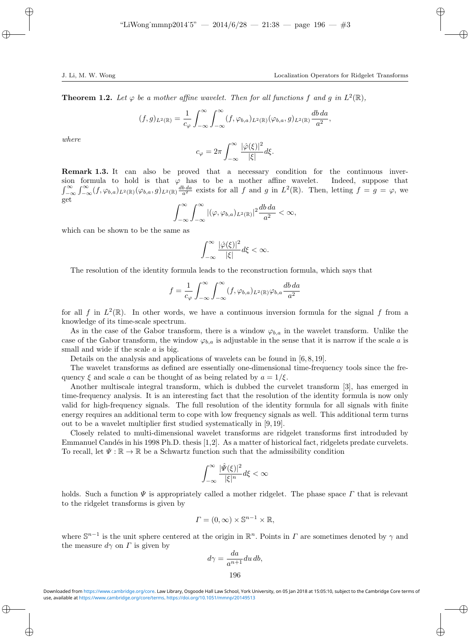**Theorem 1.2.** Let  $\varphi$  be a mother affine wavelet. Then for all functions f and g in  $L^2(\mathbb{R})$ ,

$$
(f,g)_{L^2(\mathbb{R})} = \frac{1}{c_\varphi} \int_{-\infty}^{\infty} \int_{-\infty}^{\infty} (f, \varphi_{b,a})_{L^2(\mathbb{R})} (\varphi_{b,a}, g)_{L^2(\mathbb{R})} \frac{db \, da}{a^2},
$$

where

$$
c_{\varphi} = 2\pi \int_{-\infty}^{\infty} \frac{|\hat{\varphi}(\xi)|^2}{|\xi|} d\xi.
$$

Remark 1.3. It can also be proved that a necessary condition for the continuous inversion formula to hold is that  $\varphi$  has to be a mother affine wavelet. Indeed, suppose that  $\int_{-\infty}^{\infty} \int_{-\infty}^{\infty} (f, \varphi_{b,a})_{L^2(\mathbb{R})} (\varphi_{b,a}, g)_{L^2(\mathbb{R})} \frac{db da}{a^2}$  exists for all f and g in  $L^2(\mathbb{R})$ . Then, letting  $f = g = \varphi$ , we get

$$
\int_{-\infty}^{\infty} \int_{-\infty}^{\infty} |(\varphi, \varphi_{b,a})_{L^2(\mathbb{R})}|^2 \frac{db \, da}{a^2} < \infty,
$$

which can be shown to be the same as

$$
\int_{-\infty}^{\infty}\frac{|\hat{\varphi}(\xi)|^2}{|\xi|}d\xi<\infty.
$$

The resolution of the identity formula leads to the reconstruction formula, which says that

$$
f = \frac{1}{c_{\varphi}} \int_{-\infty}^{\infty} \int_{-\infty}^{\infty} (f, \varphi_{b,a})_{L^2(\mathbb{R})} \varphi_{b,a} \frac{db \, da}{a^2}
$$

for all f in  $L^2(\mathbb{R})$ . In other words, we have a continuous inversion formula for the signal f from a knowledge of its time-scale spectrum.

As in the case of the Gabor transform, there is a window  $\varphi_{b,a}$  in the wavelet transform. Unlike the case of the Gabor transform, the window  $\varphi_{b,a}$  is adjustable in the sense that it is narrow if the scale a is small and wide if the scale a is big.

Details on the analysis and applications of wavelets can be found in [6, 8, 19].

The wavelet transforms as defined are essentially one-dimensional time-frequency tools since the frequency  $\xi$  and scale a can be thought of as being related by  $a = 1/\xi$ .

Another multiscale integral transform, which is dubbed the curvelet transform [3], has emerged in time-frequency analysis. It is an interesting fact that the resolution of the identity formula is now only valid for high-frequency signals. The full resolution of the identity formula for all signals with finite energy requires an additional term to cope with low frequency signals as well. This additional term turns out to be a wavelet multiplier first studied systematically in [9, 19].

Closely related to multi-dimensional wavelet transforms are ridgelet transforms first introduded by Emmanuel Candés in his 1998 Ph.D. thesis [1,2]. As a matter of historical fact, ridgelets predate curvelets. To recall, let  $\Psi : \mathbb{R} \to \mathbb{R}$  be a Schwartz function such that the admissibility condition

$$
\int_{-\infty}^{\infty}\frac{|\hat{\varPsi}(\xi)|^2}{|\xi|^n}d\xi<\infty
$$

holds. Such a function  $\Psi$  is appropriately called a mother ridgelet. The phase space  $\Gamma$  that is relevant to the ridgelet transforms is given by

$$
\Gamma = (0, \infty) \times \mathbb{S}^{n-1} \times \mathbb{R},
$$

where  $\mathbb{S}^{n-1}$  is the unit sphere centered at the origin in  $\mathbb{R}^n$ . Points in  $\Gamma$  are sometimes denoted by  $\gamma$  and the measure  $d\gamma$  on  $\Gamma$  is given by

$$
d\gamma = \frac{da}{a^{n+1}} du \, db,
$$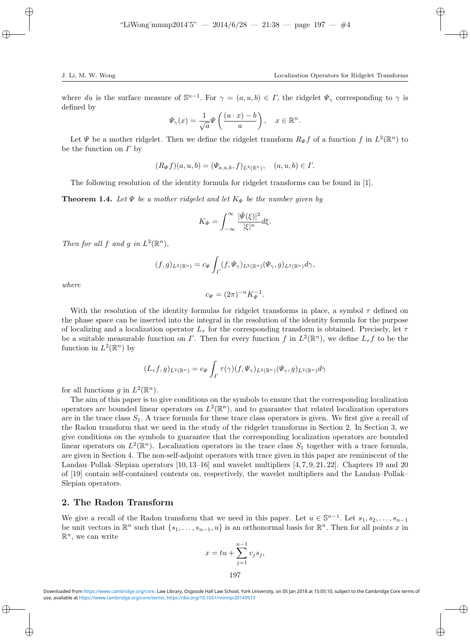where du is the surface measure of  $\mathbb{S}^{n-1}$ . For  $\gamma = (a, u, b) \in \Gamma$ , the ridgelet  $\Psi_{\gamma}$  corresponding to  $\gamma$  is defined by

$$
\Psi_{\gamma}(x) = \frac{1}{\sqrt{a}} \Psi\left(\frac{(u \cdot x) - b}{a}\right), \quad x \in \mathbb{R}^{n}.
$$

Let  $\Psi$  be a mother ridgelet. Then we define the ridgelet transform  $R_{\Psi}f$  of a function f in  $L^2(\mathbb{R}^n)$  to be the function on  $\Gamma$  by

$$
(R_{\Psi}f)(a, u, b) = (\Psi_{a, u, b}, f)_{L^2(\mathbb{R}^n)}, \quad (a, u, b) \in \Gamma.
$$

The following resolution of the identity formula for ridgelet transforms can be found in [1].

**Theorem 1.4.** Let  $\Psi$  be a mother ridgelet and let  $K_{\Psi}$  be the number given by

$$
K_{\Psi} = \int_{-\infty}^{\infty} \frac{|\hat{\Psi}(\xi)|^2}{|\xi|^n} d\xi.
$$

Then for all f and g in  $L^2(\mathbb{R}^n)$ ,

$$
(f,g)_{L^2(\mathbb{R}^n)} = c_{\Psi} \int_{\Gamma} (f, \Psi_{\gamma})_{L^2(\mathbb{R}^n)} (\Psi_{\gamma}, g)_{L^2(\mathbb{R}^n)} d\gamma,
$$

where

$$
c_{\Psi} = (2\pi)^{-n} K_{\Psi}^{-1}.
$$

With the resolution of the identity formulas for ridgelet transforms in place, a symbol  $\tau$  defined on the phase space can be inserted into the integral in the resolution of the identity formula for the purpose of localizing and a localization operator  $L_{\tau}$  for the corresponding transform is obtained. Precisely, let  $\tau$ be a suitable measurable function on  $\Gamma$ . Then for every function f in  $L^2(\mathbb{R}^n)$ , we define  $L_{\tau}f$  to be the function in  $L^2(\mathbb{R}^n)$  by

$$
(L_{\tau}f,g)_{L^2(\mathbb{R}^n)}=c_{\Psi}\int_{\Gamma}\tau(\gamma)(f,\Psi_{\gamma})_{L^2(\mathbb{R}^n)}(\Psi_{\gamma},g)_{L^2(\mathbb{R}^n)}d\gamma
$$

for all functions g in  $L^2(\mathbb{R}^n)$ .

The aim of this paper is to give conditions on the symbols to ensure that the corresponding localization operators are bounded linear operators on  $L^2(\mathbb{R}^n)$ , and to guarantee that related localization operators are in the trace class  $S_1$ . A trace formula for these trace class operators is given. We first give a recall of the Radon transform that we need in the study of the ridgelet transforms in Section 2. In Section 3, we give conditions on the symbols to guarantee that the corresponding localization operators are bounded linear operators on  $L^2(\mathbb{R}^n)$ . Localization operators in the trace class  $S_1$  together with a trace formula, are given in Section 4. The non-self-adjoint operators with trace given in this paper are reminiscent of the Landau–Pollak–Slepian operators [10, 13–16] and wavelet multipliers [4, 7, 9, 21, 22]. Chapters 19 and 20 of [19] contain self-contained contents on, respectively, the wavelet multipliers and the Landau–Pollak– Slepian operators.

### 2. The Radon Transform

We give a recall of the Radon transform that we need in this paper. Let  $u \in \mathbb{S}^{n-1}$ . Let  $s_1, s_2, \ldots, s_{n-1}$ be unit vectors in  $\mathbb{R}^n$  such that  $\{s_1, \ldots, s_{n-1}, u\}$  is an orthonormal basis for  $\mathbb{R}^n$ . Then for all points x in  $\mathbb{R}^n$ , we can write

$$
x = tu + \sum_{j=1}^{n-1} v_j s_j,
$$
  
197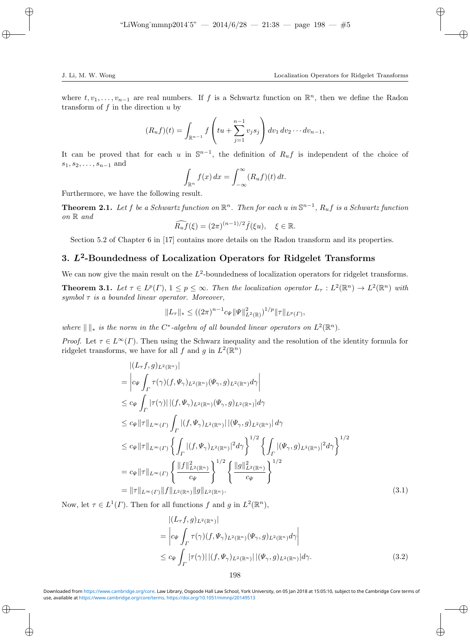where  $t, v_1, \ldots, v_{n-1}$  are real numbers. If f is a Schwartz function on  $\mathbb{R}^n$ , then we define the Radon transform of  $f$  in the direction  $u$  by

$$
(R_uf)(t) = \int_{\mathbb{R}^{n-1}} f\left(tu + \sum_{j=1}^{n-1} v_j s_j\right) dv_1 dv_2 \cdots dv_{n-1},
$$

It can be proved that for each u in  $\mathbb{S}^{n-1}$ , the definition of  $R_uf$  is independent of the choice of  $s_1, s_2, \ldots, s_{n-1}$  and

$$
\int_{\mathbb{R}^n} f(x) dx = \int_{-\infty}^{\infty} (R_u f)(t) dt.
$$

Furthermore, we have the following result.

**Theorem 2.1.** Let f be a Schwartz function on  $\mathbb{R}^n$ . Then for each u in  $\mathbb{S}^{n-1}$ ,  $R_uf$  is a Schwartz function on R and

$$
\widehat{R_uf}(\xi) = (2\pi)^{(n-1)/2} \widehat{f}(\xi u), \quad \xi \in \mathbb{R}.
$$

Section 5.2 of Chapter 6 in [17] contains more details on the Radon transform and its properties.

## 3.  $L^2$ -Boundedness of Localization Operators for Ridgelet Transforms

We can now give the main result on the  $L^2$ -boundedness of localization operators for ridgelet transforms.

**Theorem 3.1.** Let  $\tau \in L^p(\Gamma)$ ,  $1 \leq p \leq \infty$ . Then the localization operator  $L_{\tau}: L^2(\mathbb{R}^n) \to L^2(\mathbb{R}^n)$  with symbol  $\tau$  is a bounded linear operator. Moreover,

$$
||L_{\tau}||_* \leq ((2\pi)^{n-1}c_{\Psi}||\Psi||_{L^2(\mathbb{R})}^2)^{1/p}||\tau||_{L^p(\Gamma)},
$$

where  $\|\ \|_*\$  is the norm in the C<sup>\*</sup>-algebra of all bounded linear operators on  $L^2(\mathbb{R}^n)$ .

*Proof.* Let  $\tau \in L^{\infty}(\Gamma)$ . Then using the Schwarz inequality and the resolution of the identity formula for ridgelet transforms, we have for all f and g in  $L^2(\mathbb{R}^n)$ 

$$
\begin{split}\n& \left| (L_{\tau}f, g)_{L^{2}(\mathbb{R}^{n})} \right| \\
&= \left| c_{\Psi} \int_{\Gamma} \tau(\gamma)(f, \Psi_{\gamma})_{L^{2}(\mathbb{R}^{n})} (\Psi_{\gamma}, g)_{L^{2}(\mathbb{R}^{n})} d\gamma \right| \\
&\leq c_{\Psi} \int_{\Gamma} |\tau(\gamma)| \left| (f, \Psi_{\gamma})_{L^{2}(\mathbb{R}^{n})} (\Psi_{\gamma}, g)_{L^{2}(\mathbb{R}^{n})} \right| d\gamma \\
&\leq c_{\Psi} \|\tau\|_{L^{\infty}(\Gamma)} \int_{\Gamma} |(f, \Psi_{\gamma})_{L^{2}(\mathbb{R}^{n})} | \left| (\Psi_{\gamma}, g)_{L^{2}(\mathbb{R}^{n})} \right| d\gamma \\
&\leq c_{\Psi} \|\tau\|_{L^{\infty}(\Gamma)} \left\{ \int_{\Gamma} |(f, \Psi_{\gamma})_{L^{2}(\mathbb{R}^{n})} |^{2} d\gamma \right\}^{1/2} \left\{ \int_{\Gamma} |(\Psi_{\gamma}, g)_{L^{2}(\mathbb{R}^{n})} |^{2} d\gamma \right\}^{1/2} \\
&= c_{\Psi} \|\tau\|_{L^{\infty}(\Gamma)} \left\{ \frac{\|f\|_{L^{2}(\mathbb{R}^{n})}^{2}}{c_{\Psi}} \right\}^{1/2} \left\{ \frac{\|g\|_{L^{2}(\mathbb{R}^{n})}^{2}}{c_{\Psi}} \right\}^{1/2} \\
&= \|\tau\|_{L^{\infty}(\Gamma)} \|f\|_{L^{2}(\mathbb{R}^{n})} \|g\|_{L^{2}(\mathbb{R}^{n})}.\n\end{split} \tag{3.1}
$$

Now, let  $\tau \in L^1(\Gamma)$ . Then for all functions f and g in  $L^2(\mathbb{R}^n)$ ,

$$
\begin{split} & \left| (L_{\tau}f, g)_{L^{2}(\mathbb{R}^{n})} \right| \\ &= \left| c_{\Psi} \int_{\Gamma} \tau(\gamma)(f, \Psi_{\gamma})_{L^{2}(\mathbb{R}^{n})} (\Psi_{\gamma}, g)_{L^{2}(\mathbb{R}^{n})} d\gamma \right| \\ &\leq c_{\Psi} \int_{\Gamma} |\tau(\gamma)| \left| (f, \Psi_{\gamma})_{L^{2}(\mathbb{R}^{n})} \right| |(\Psi_{\gamma}, g)_{L^{2}(\mathbb{R}^{n})} |d\gamma. \end{split} \tag{3.2}
$$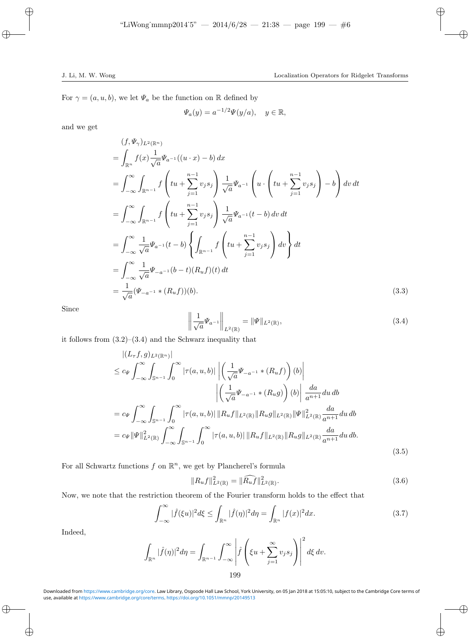For  $\gamma = (a, u, b)$ , we let  $\Psi_a$  be the function on R defined by

$$
\Psi_a(y) = a^{-1/2} \Psi(y/a), \quad y \in \mathbb{R},
$$

and we get

$$
(f, \Psi_{\gamma})_{L^{2}(\mathbb{R}^{n})}
$$
\n
$$
= \int_{\mathbb{R}^{n}} f(x) \frac{1}{\sqrt{a}} \Psi_{a^{-1}}((u \cdot x) - b) dx
$$
\n
$$
= \int_{-\infty}^{\infty} \int_{\mathbb{R}^{n-1}} f\left(tu + \sum_{j=1}^{n-1} v_{j} s_{j}\right) \frac{1}{\sqrt{a}} \Psi_{a^{-1}}\left(u \cdot \left(tu + \sum_{j=1}^{n-1} v_{j} s_{j}\right) - b\right) dv dt
$$
\n
$$
= \int_{-\infty}^{\infty} \int_{\mathbb{R}^{n-1}} f\left(tu + \sum_{j=1}^{n-1} v_{j} s_{j}\right) \frac{1}{\sqrt{a}} \Psi_{a^{-1}}(t - b) dv dt
$$
\n
$$
= \int_{-\infty}^{\infty} \frac{1}{\sqrt{a}} \Psi_{a^{-1}}(t - b) \left\{\int_{\mathbb{R}^{n-1}} f\left(tu + \sum_{j=1}^{n-1} v_{j} s_{j}\right) dv\right\} dt
$$
\n
$$
= \int_{-\infty}^{\infty} \frac{1}{\sqrt{a}} \Psi_{-a^{-1}}(b - t)(R_{u} f)(t) dt
$$
\n
$$
= \frac{1}{\sqrt{a}} (\Psi_{-a^{-1}} * (R_{u} f)) (b).
$$
\n(3.3)

Since

$$
\left\| \frac{1}{\sqrt{a}} \Psi_{a^{-1}} \right\|_{L^2(\mathbb{R})} = \|\Psi\|_{L^2(\mathbb{R})},\tag{3.4}
$$

it follows from (3.2)–(3.4) and the Schwarz inequality that

$$
\begin{split}\n&|(L_{\tau}f,g)_{L^{2}(\mathbb{R}^{n})}| \\
&\leq c_{\Psi} \int_{-\infty}^{\infty} \int_{\mathbb{S}^{n-1}} \int_{0}^{\infty} |\tau(a,u,b)| \left| \left( \frac{1}{\sqrt{a}} \Psi_{-a^{-1}} * (R_{u}f) \right) (b) \right| \\
&\quad \left| \left( \frac{1}{\sqrt{a}} \Psi_{-a^{-1}} * (R_{u}g) \right) (b) \right| \frac{da}{a^{n+1}} du \, db \\
&= c_{\Psi} \int_{-\infty}^{\infty} \int_{\mathbb{S}^{n-1}} \int_{0}^{\infty} |\tau(a,u,b)| \, ||R_{u}f||_{L^{2}(\mathbb{R})} ||R_{u}g||_{L^{2}(\mathbb{R})} ||\Psi||_{L^{2}(\mathbb{R})}^{2} \frac{da}{a^{n+1}} du \, db \\
&= c_{\Psi} ||\Psi||_{L^{2}(\mathbb{R})}^{2} \int_{-\infty}^{\infty} \int_{\mathbb{S}^{n-1}} \int_{0}^{\infty} |\tau(a,u,b)| \, ||R_{u}f||_{L^{2}(\mathbb{R})} ||R_{u}g||_{L^{2}(\mathbb{R})} \frac{da}{a^{n+1}} du \, db.\n\end{split} \tag{3.5}
$$

For all Schwartz functions  $f$  on  $\mathbb{R}^n$ , we get by Plancherel's formula

$$
||R_u f||_{L^2(\mathbb{R})}^2 = ||\widehat{R_u f}||_{L^2(\mathbb{R})}^2.
$$
\n(3.6)

Now, we note that the restriction theorem of the Fourier transform holds to the effect that

$$
\int_{-\infty}^{\infty} |\widehat{f}(\xi u)|^2 d\xi \le \int_{\mathbb{R}^n} |\widehat{f}(\eta)|^2 d\eta = \int_{\mathbb{R}^n} |f(x)|^2 dx. \tag{3.7}
$$

Indeed,

$$
\int_{\mathbb{R}^n} |\widehat{f}(\eta)|^2 d\eta = \int_{\mathbb{R}^{n-1}} \int_{-\infty}^{\infty} \left| \widehat{f} \left( \xi u + \sum_{j=1}^{\infty} v_j s_j \right) \right|^2 d\xi dv.
$$

199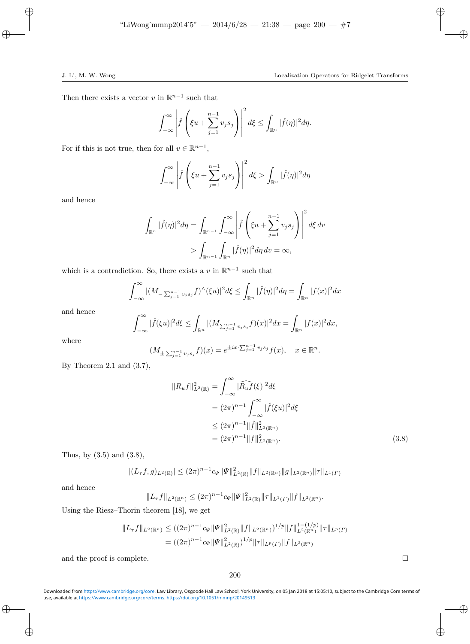Then there exists a vector v in  $\mathbb{R}^{n-1}$  such that

$$
\int_{-\infty}^{\infty} \left| \hat{f}\left(\xi u + \sum_{j=1}^{n-1} v_j s_j\right) \right|^2 d\xi \le \int_{\mathbb{R}^n} |\hat{f}(\eta)|^2 d\eta.
$$

For if this is not true, then for all  $v \in \mathbb{R}^{n-1}$ ,

$$
\int_{-\infty}^{\infty} \left| \hat{f}\left(\xi u + \sum_{j=1}^{n-1} v_j s_j\right) \right|^2 d\xi > \int_{\mathbb{R}^n} |\hat{f}(\eta)|^2 d\eta
$$

and hence

$$
\int_{\mathbb{R}^n} |\widehat{f}(\eta)|^2 d\eta = \int_{\mathbb{R}^{n-1}} \int_{-\infty}^{\infty} \left| \widehat{f} \left( \xi u + \sum_{j=1}^{n-1} v_j s_j \right) \right|^2 d\xi dv
$$

$$
> \int_{\mathbb{R}^{n-1}} \int_{\mathbb{R}^n} |\widehat{f}(\eta)|^2 d\eta dv = \infty,
$$

which is a contradiction. So, there exists a v in  $\mathbb{R}^{n-1}$  such that

$$
\int_{-\infty}^{\infty} |(M_{-\sum_{j=1}^{n-1} v_j s_j} f)^{\wedge} (\xi u)|^2 d\xi \le \int_{\mathbb{R}^n} |\widehat{f}(\eta)|^2 d\eta = \int_{\mathbb{R}^n} |f(x)|^2 dx
$$

and hence

$$
\int_{-\infty}^{\infty} |\widehat{f}(\xi u)|^2 d\xi \le \int_{\mathbb{R}^n} |(M_{\sum_{j=1}^{n-1} v_j s_j} f)(x)|^2 dx = \int_{\mathbb{R}^n} |f(x)|^2 dx,
$$

where

$$
(M_{\pm \sum_{j=1}^{n-1} v_j s_j} f)(x) = e^{\pm ix \cdot \sum_{j=1}^{n-1} v_j s_j} f(x), \quad x \in \mathbb{R}^n.
$$

By Theorem 2.1 and  $(3.7)$ ,

$$
||R_u f||_{L^2(\mathbb{R})}^2 = \int_{-\infty}^{\infty} |\widehat{R_u f}(\xi)|^2 d\xi
$$
  
=  $(2\pi)^{n-1} \int_{-\infty}^{\infty} |\widehat{f}(\xi u)|^2 d\xi$   
 $\le (2\pi)^{n-1} ||\widehat{f}||_{L^2(\mathbb{R}^n)}^2$   
=  $(2\pi)^{n-1} ||f||_{L^2(\mathbb{R}^n)}^2$ . (3.8)

Thus, by (3.5) and (3.8),

$$
|(L_{\tau}f,g)_{L^2(\mathbb{R})}| \leq (2\pi)^{n-1}c_{\Psi} \|\Psi\|_{L^2(\mathbb{R})}^2 \|f\|_{L^2(\mathbb{R}^n)} \|g\|_{L^2(\mathbb{R}^n)} \|\tau\|_{L^1(\Gamma)}
$$

and hence

 $||L_{\tau}f||_{L^2(\mathbb{R}^n)} \leq (2\pi)^{n-1}c_{\Psi} ||\Psi||^2_{L^2(\mathbb{R})} ||\tau||_{L^1(\Gamma)} ||f||_{L^2(\mathbb{R}^n)}.$ 

Using the Riesz–Thorin theorem [18], we get

$$
||L_{\tau}f||_{L^{2}(\mathbb{R}^{n})} \leq ((2\pi)^{n-1}c_{\Psi}||\Psi||^{2}_{L^{2}(\mathbb{R})}||f||_{L^{2}(\mathbb{R}^{n})})^{1/p}||f||^{1-(1/p)}_{L^{2}(\mathbb{R}^{n})}||\tau||_{L^{p}(\Gamma)}
$$
  
=  $((2\pi)^{n-1}c_{\Psi}||\Psi||^{2}_{L^{2}(\mathbb{R})})^{1/p}||\tau||_{L^{p}(\Gamma)}||f||_{L^{2}(\mathbb{R}^{n})}$ 

and the proof is complete.  $\Box$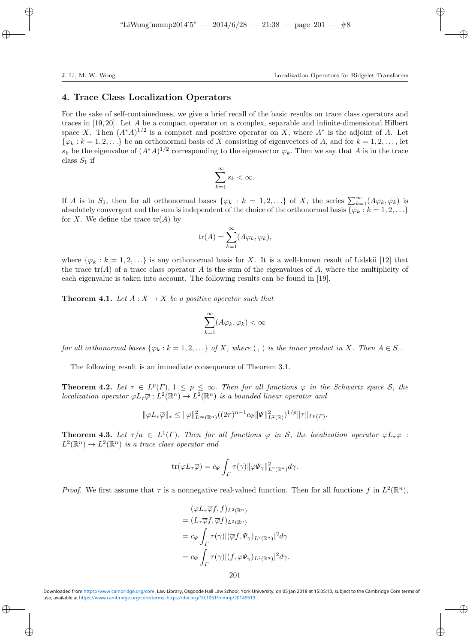### 4. Trace Class Localization Operators

For the sake of self-containedness, we give a brief recall of the basic results on trace class operators and traces in [19, 20]. Let A be a compact operator on a complex, separable and infinite-dimensional Hilbert space X. Then  $(A^*A)^{1/2}$  is a compact and positive operator on X, where  $A^*$  is the adjoint of A. Let  $\{\varphi_k : k = 1, 2, \ldots\}$  be an orthonormal basis of X consisting of eigenvectors of A, and for  $k = 1, 2, \ldots$ , let  $s_k$  be the eigenvalue of  $(A^*A)^{1/2}$  corresponding to the eigenvector  $\varphi_k$ . Then we say that A is in the trace class  $S_1$  if

$$
\sum_{k=1}^{\infty} s_k < \infty.
$$

If A is in  $S_1$ , then for all orthonormal bases  $\{\varphi_k : k = 1, 2, ...\}$  of X, the series  $\sum_{k=1}^{\infty} (A\varphi_k, \varphi_k)$  is absolutely convergent and the sum is independent of the choice of the orthonormal basis  $\{\varphi_k : k = 1, 2, \ldots\}$ for X. We define the trace  $tr(A)$  by

$$
\text{tr}(A) = \sum_{k=1}^{\infty} (A\varphi_k, \varphi_k),
$$

where  $\{\varphi_k : k = 1, 2, \ldots\}$  is any orthonormal basis for X. It is a well-known result of Lidskii [12] that the trace  $tr(A)$  of a trace class operator A is the sum of the eigenvalues of A, where the multiplicity of each eigenvalue is taken into account. The following results can be found in [19].

**Theorem 4.1.** Let  $A: X \to X$  be a positive operator such that

$$
\sum_{k=1}^{\infty} (A\varphi_k, \varphi_k) < \infty
$$

for all orthonormal bases  $\{\varphi_k : k = 1, 2, \ldots\}$  of X, where (, ) is the inner product in X. Then  $A \in S_1$ .

The following result is an immediate consequence of Theorem 3.1.

**Theorem 4.2.** Let  $\tau \in L^p(\Gamma)$ ,  $1 \leq p \leq \infty$ . Then for all functions  $\varphi$  in the Schwartz space S, the localization operator  $\varphi L_{\tau} \overline{\varphi}: L^2(\mathbb{R}^n) \to L^2(\mathbb{R}^n)$  is a bounded linear operator and

$$
\|\varphi L_{\tau}\overline{\varphi}\|_{*} \leq \|\varphi\|_{L^{\infty}(\mathbb{R}^{n})}^{2}((2\pi)^{n-1}c_{\Psi}\|\Psi\|_{L^{2}(\mathbb{R})}^{2})^{1/p}\|\tau\|_{L^{p}(\Gamma)}.
$$

**Theorem 4.3.** Let  $\tau/a \in L^1(\Gamma)$ . Then for all functions  $\varphi$  in S, the localization operator  $\varphi L_{\tau} \overline{\varphi}$ :  $L^2(\mathbb{R}^n) \to L^2(\mathbb{R}^n)$  is a trace class operator and

$$
\text{tr}(\varphi L_{\tau}\overline{\varphi})=c_{\Psi}\int_{\Gamma}\tau(\gamma)\|\varphi\Psi_{\gamma}\|_{L^{2}(\mathbb{R}^{n})}^{2}d\gamma.
$$

*Proof.* We first assume that  $\tau$  is a nonnegative real-valued function. Then for all functions f in  $L^2(\mathbb{R}^n)$ ,

$$
(\varphi L_{\tau}\overline{\varphi}f, f)_{L^{2}(\mathbb{R}^{n})}
$$
  
=  $(L_{\tau}\overline{\varphi}f, \overline{\varphi}f)_{L^{2}(\mathbb{R}^{n})}$   
=  $c_{\Psi} \int_{\Gamma} \tau(\gamma) |(\overline{\varphi}f, \Psi_{\gamma})_{L^{2}(\mathbb{R}^{n})}|^{2} d\gamma$   
=  $c_{\Psi} \int_{\Gamma} \tau(\gamma) |(f, \varphi \Psi_{\gamma})_{L^{2}(\mathbb{R}^{n})}|^{2} d\gamma$ .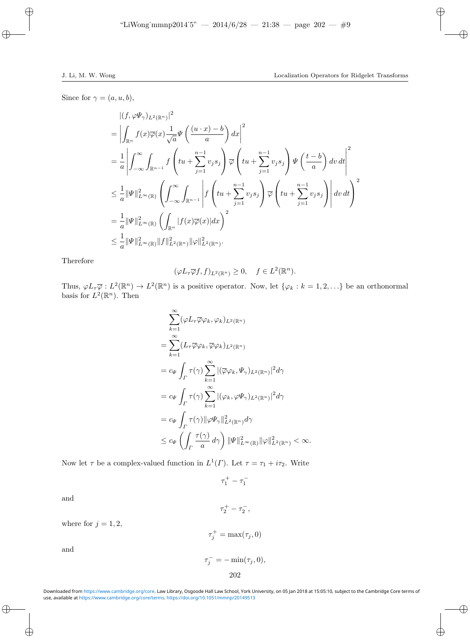Since for  $\gamma = (a, u, b)$ ,

$$
\begin{split} &\left| (f, \varphi \Psi_{\gamma})_{L^{2}(\mathbb{R}^{n})} \right|^{2} \\ &=\left| \int_{\mathbb{R}^{n}} f(x) \overline{\varphi}(x) \frac{1}{\sqrt{a}} \Psi\left( \frac{(u \cdot x) - b}{a} \right) dx \right|^{2} \\ &= \frac{1}{a} \left| \int_{-\infty}^{\infty} \int_{\mathbb{R}^{n-1}} f\left( tu + \sum_{j=1}^{n-1} v_{j} s_{j} \right) \overline{\varphi} \left( tu + \sum_{j=1}^{n-1} v_{j} s_{j} \right) \Psi\left( \frac{t-b}{a} \right) dv dt \right|^{2} \\ &\leq \frac{1}{a} \|\Psi\|_{L^{\infty}(\mathbb{R})}^{2} \left( \int_{-\infty}^{\infty} \int_{\mathbb{R}^{n-1}} \left| f\left( tu + \sum_{j=1}^{n-1} v_{j} s_{j} \right) \overline{\varphi} \left( tu + \sum_{j=1}^{n-1} v_{j} s_{j} \right) \right| dv dt \right)^{2} \\ &= \frac{1}{a} \|\Psi\|_{L^{\infty}(\mathbb{R})}^{2} \left( \int_{\mathbb{R}^{n}} |f(x) \overline{\varphi}(x)| dx \right)^{2} \\ &\leq \frac{1}{a} \|\Psi\|_{L^{\infty}(\mathbb{R})}^{2} \|f\|_{L^{2}(\mathbb{R}^{n})}^{2} \|\varphi\|_{L^{2}(\mathbb{R}^{n})}^{2} . \end{split}
$$

Therefore

$$
(\varphi L_{\tau}\overline{\varphi}f, f)_{L^{2}(\mathbb{R}^{n})} \geq 0, \quad f \in L^{2}(\mathbb{R}^{n}).
$$

Thus,  $\varphi L_{\tau} \overline{\varphi}: L^2(\mathbb{R}^n) \to L^2(\mathbb{R}^n)$  is a positive operator. Now, let  $\{\varphi_k : k = 1, 2, ...\}$  be an orthonormal basis for  $L^2(\mathbb{R}^n)$ . Then

$$
\sum_{k=1}^{\infty} (\varphi L_{\tau} \overline{\varphi} \varphi_{k}, \varphi_{k})_{L^{2}(\mathbb{R}^{n})}
$$
\n
$$
= \sum_{k=1}^{\infty} (L_{\tau} \overline{\varphi} \varphi_{k}, \overline{\varphi} \varphi_{k})_{L^{2}(\mathbb{R}^{n})}
$$
\n
$$
= c_{\Psi} \int_{\Gamma} \tau(\gamma) \sum_{k=1}^{\infty} |(\overline{\varphi} \varphi_{k}, \Psi_{\gamma})_{L^{2}(\mathbb{R}^{n})}|^{2} d\gamma
$$
\n
$$
= c_{\Psi} \int_{\Gamma} \tau(\gamma) \sum_{k=1}^{\infty} |(\varphi_{k}, \varphi \Psi_{\gamma})_{L^{2}(\mathbb{R}^{n})}|^{2} d\gamma
$$
\n
$$
= c_{\Psi} \int_{\Gamma} \tau(\gamma) ||\varphi \Psi_{\gamma}||^{2}_{L^{2}(\mathbb{R}^{n})} d\gamma
$$
\n
$$
\leq c_{\Psi} \left( \int_{\Gamma} \frac{\tau(\gamma)}{a} d\gamma \right) ||\Psi||^{2}_{L^{\infty}(\mathbb{R})} ||\varphi||^{2}_{L^{2}(\mathbb{R}^{n})} < \infty.
$$

Now let  $\tau$  be a complex-valued function in  $L^1(\Gamma)$ . Let  $\tau = \tau_1 + i\tau_2$ . Write

 $\tau_1^+ - \tau_1^-$ 

and

where for  $j = 1, 2$ ,

$$
\tau_j^+=\max(\tau_j,0)
$$

 $\tau_j^- = -\min(\tau_j, 0),$ 202

 $\tau_2^+ - \tau_2^-,$ 

and